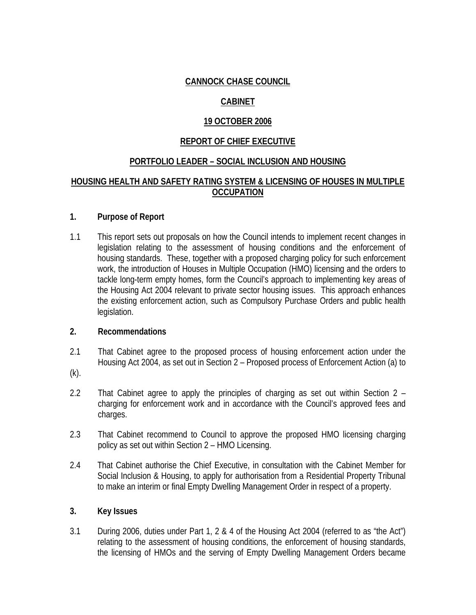## **CANNOCK CHASE COUNCIL**

# **CABINET**

## **19 OCTOBER 2006**

## **REPORT OF CHIEF EXECUTIVE**

### **PORTFOLIO LEADER – SOCIAL INCLUSION AND HOUSING**

#### **HOUSING HEALTH AND SAFETY RATING SYSTEM & LICENSING OF HOUSES IN MULTIPLE OCCUPATION**

#### **1. Purpose of Report**

1.1 This report sets out proposals on how the Council intends to implement recent changes in legislation relating to the assessment of housing conditions and the enforcement of housing standards. These, together with a proposed charging policy for such enforcement work, the introduction of Houses in Multiple Occupation (HMO) licensing and the orders to tackle long-term empty homes, form the Council's approach to implementing key areas of the Housing Act 2004 relevant to private sector housing issues. This approach enhances the existing enforcement action, such as Compulsory Purchase Orders and public health legislation.

#### **2. Recommendations**

- 2.1 That Cabinet agree to the proposed process of housing enforcement action under the Housing Act 2004, as set out in Section 2 – Proposed process of Enforcement Action (a) to
- (k).
- 2.2 That Cabinet agree to apply the principles of charging as set out within Section 2 charging for enforcement work and in accordance with the Council's approved fees and charges.
- 2.3 That Cabinet recommend to Council to approve the proposed HMO licensing charging policy as set out within Section 2 – HMO Licensing.
- 2.4 That Cabinet authorise the Chief Executive, in consultation with the Cabinet Member for Social Inclusion & Housing, to apply for authorisation from a Residential Property Tribunal to make an interim or final Empty Dwelling Management Order in respect of a property.

#### **3. Key Issues**

3.1 During 2006, duties under Part 1, 2 & 4 of the Housing Act 2004 (referred to as "the Act") relating to the assessment of housing conditions, the enforcement of housing standards, the licensing of HMOs and the serving of Empty Dwelling Management Orders became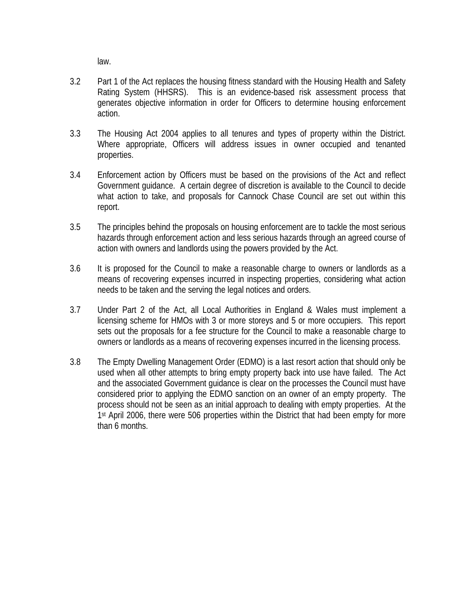law.

- 3.2 Part 1 of the Act replaces the housing fitness standard with the Housing Health and Safety Rating System (HHSRS). This is an evidence-based risk assessment process that generates objective information in order for Officers to determine housing enforcement action.
- 3.3 The Housing Act 2004 applies to all tenures and types of property within the District. Where appropriate, Officers will address issues in owner occupied and tenanted properties.
- 3.4 Enforcement action by Officers must be based on the provisions of the Act and reflect Government guidance. A certain degree of discretion is available to the Council to decide what action to take, and proposals for Cannock Chase Council are set out within this report.
- 3.5 The principles behind the proposals on housing enforcement are to tackle the most serious hazards through enforcement action and less serious hazards through an agreed course of action with owners and landlords using the powers provided by the Act.
- 3.6 It is proposed for the Council to make a reasonable charge to owners or landlords as a means of recovering expenses incurred in inspecting properties, considering what action needs to be taken and the serving the legal notices and orders.
- 3.7 Under Part 2 of the Act, all Local Authorities in England & Wales must implement a licensing scheme for HMOs with 3 or more storeys and 5 or more occupiers. This report sets out the proposals for a fee structure for the Council to make a reasonable charge to owners or landlords as a means of recovering expenses incurred in the licensing process.
- 3.8 The Empty Dwelling Management Order (EDMO) is a last resort action that should only be used when all other attempts to bring empty property back into use have failed. The Act and the associated Government guidance is clear on the processes the Council must have considered prior to applying the EDMO sanction on an owner of an empty property. The process should not be seen as an initial approach to dealing with empty properties. At the 1<sup>st</sup> April 2006, there were 506 properties within the District that had been empty for more than 6 months.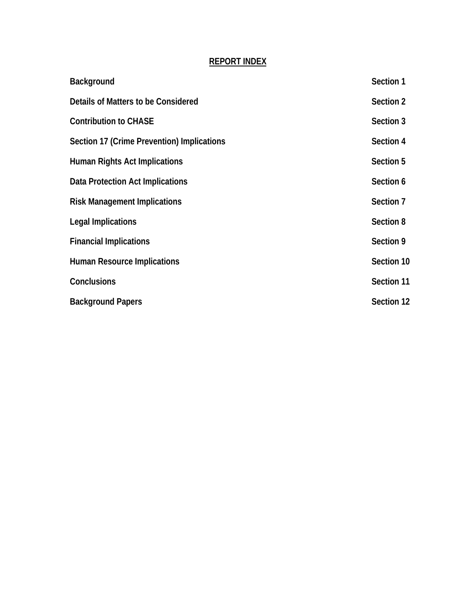# **REPORT INDEX**

| Background                                 | Section 1  |
|--------------------------------------------|------------|
| Details of Matters to be Considered        | Section 2  |
| <b>Contribution to CHASE</b>               | Section 3  |
| Section 17 (Crime Prevention) Implications | Section 4  |
| <b>Human Rights Act Implications</b>       | Section 5  |
| Data Protection Act Implications           | Section 6  |
| <b>Risk Management Implications</b>        | Section 7  |
| Legal Implications                         | Section 8  |
| <b>Financial Implications</b>              | Section 9  |
| <b>Human Resource Implications</b>         | Section 10 |
| Conclusions                                | Section 11 |
| <b>Background Papers</b>                   | Section 12 |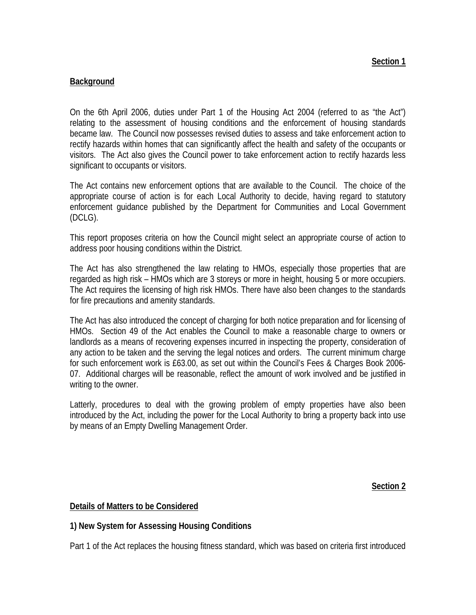#### **Background**

On the 6th April 2006, duties under Part 1 of the Housing Act 2004 (referred to as "the Act") relating to the assessment of housing conditions and the enforcement of housing standards became law. The Council now possesses revised duties to assess and take enforcement action to rectify hazards within homes that can significantly affect the health and safety of the occupants or visitors. The Act also gives the Council power to take enforcement action to rectify hazards less significant to occupants or visitors.

The Act contains new enforcement options that are available to the Council. The choice of the appropriate course of action is for each Local Authority to decide, having regard to statutory enforcement guidance published by the Department for Communities and Local Government (DCLG).

This report proposes criteria on how the Council might select an appropriate course of action to address poor housing conditions within the District.

The Act has also strengthened the law relating to HMOs, especially those properties that are regarded as high risk – HMOs which are 3 storeys or more in height, housing 5 or more occupiers. The Act requires the licensing of high risk HMOs. There have also been changes to the standards for fire precautions and amenity standards.

The Act has also introduced the concept of charging for both notice preparation and for licensing of HMOs. Section 49 of the Act enables the Council to make a reasonable charge to owners or landlords as a means of recovering expenses incurred in inspecting the property, consideration of any action to be taken and the serving the legal notices and orders. The current minimum charge for such enforcement work is £63.00, as set out within the Council's Fees & Charges Book 2006- 07. Additional charges will be reasonable, reflect the amount of work involved and be justified in writing to the owner.

Latterly, procedures to deal with the growing problem of empty properties have also been introduced by the Act, including the power for the Local Authority to bring a property back into use by means of an Empty Dwelling Management Order.

**Section 2**

#### **Details of Matters to be Considered**

## **1) New System for Assessing Housing Conditions**

Part 1 of the Act replaces the housing fitness standard, which was based on criteria first introduced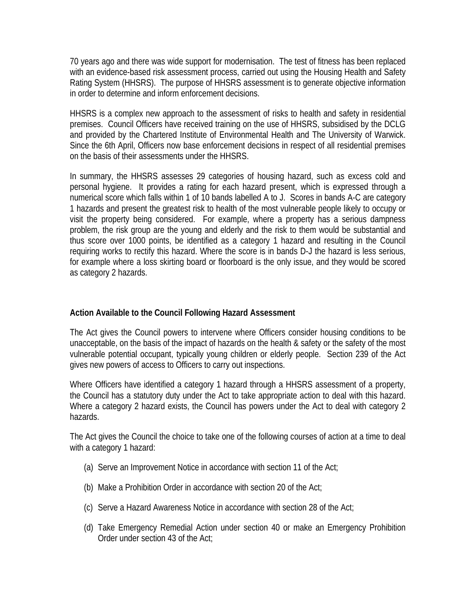70 years ago and there was wide support for modernisation. The test of fitness has been replaced with an evidence-based risk assessment process, carried out using the Housing Health and Safety Rating System (HHSRS). The purpose of HHSRS assessment is to generate objective information in order to determine and inform enforcement decisions.

HHSRS is a complex new approach to the assessment of risks to health and safety in residential premises. Council Officers have received training on the use of HHSRS, subsidised by the DCLG and provided by the Chartered Institute of Environmental Health and The University of Warwick. Since the 6th April, Officers now base enforcement decisions in respect of all residential premises on the basis of their assessments under the HHSRS.

In summary, the HHSRS assesses 29 categories of housing hazard, such as excess cold and personal hygiene. It provides a rating for each hazard present, which is expressed through a numerical score which falls within 1 of 10 bands labelled A to J. Scores in bands A-C are category 1 hazards and present the greatest risk to health of the most vulnerable people likely to occupy or visit the property being considered. For example, where a property has a serious dampness problem, the risk group are the young and elderly and the risk to them would be substantial and thus score over 1000 points, be identified as a category 1 hazard and resulting in the Council requiring works to rectify this hazard. Where the score is in bands D-J the hazard is less serious, for example where a loss skirting board or floorboard is the only issue, and they would be scored as category 2 hazards.

#### **Action Available to the Council Following Hazard Assessment**

The Act gives the Council powers to intervene where Officers consider housing conditions to be unacceptable, on the basis of the impact of hazards on the health & safety or the safety of the most vulnerable potential occupant, typically young children or elderly people. Section 239 of the Act gives new powers of access to Officers to carry out inspections.

Where Officers have identified a category 1 hazard through a HHSRS assessment of a property, the Council has a statutory duty under the Act to take appropriate action to deal with this hazard. Where a category 2 hazard exists, the Council has powers under the Act to deal with category 2 hazards.

The Act gives the Council the choice to take one of the following courses of action at a time to deal with a category 1 hazard:

- (a) Serve an Improvement Notice in accordance with section 11 of the Act;
- (b) Make a Prohibition Order in accordance with section 20 of the Act;
- (c) Serve a Hazard Awareness Notice in accordance with section 28 of the Act;
- (d) Take Emergency Remedial Action under section 40 or make an Emergency Prohibition Order under section 43 of the Act;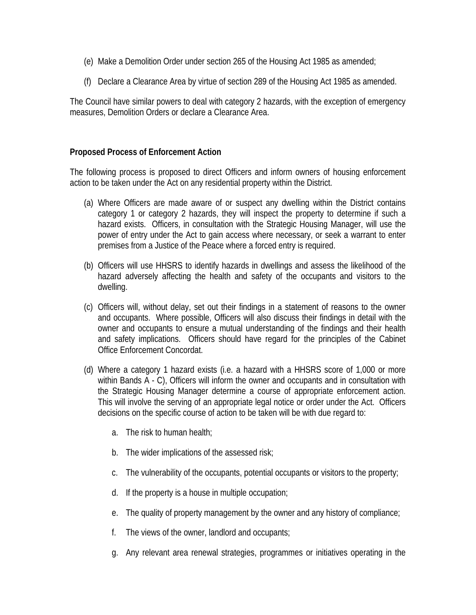- (e) Make a Demolition Order under section 265 of the Housing Act 1985 as amended;
- (f) Declare a Clearance Area by virtue of section 289 of the Housing Act 1985 as amended.

The Council have similar powers to deal with category 2 hazards, with the exception of emergency measures, Demolition Orders or declare a Clearance Area.

#### **Proposed Process of Enforcement Action**

The following process is proposed to direct Officers and inform owners of housing enforcement action to be taken under the Act on any residential property within the District.

- (a) Where Officers are made aware of or suspect any dwelling within the District contains category 1 or category 2 hazards, they will inspect the property to determine if such a hazard exists. Officers, in consultation with the Strategic Housing Manager, will use the power of entry under the Act to gain access where necessary, or seek a warrant to enter premises from a Justice of the Peace where a forced entry is required.
- (b) Officers will use HHSRS to identify hazards in dwellings and assess the likelihood of the hazard adversely affecting the health and safety of the occupants and visitors to the dwelling.
- (c) Officers will, without delay, set out their findings in a statement of reasons to the owner and occupants. Where possible, Officers will also discuss their findings in detail with the owner and occupants to ensure a mutual understanding of the findings and their health and safety implications. Officers should have regard for the principles of the Cabinet Office Enforcement Concordat.
- (d) Where a category 1 hazard exists (i.e. a hazard with a HHSRS score of 1,000 or more within Bands A - C), Officers will inform the owner and occupants and in consultation with the Strategic Housing Manager determine a course of appropriate enforcement action. This will involve the serving of an appropriate legal notice or order under the Act. Officers decisions on the specific course of action to be taken will be with due regard to:
	- a. The risk to human health;
	- b. The wider implications of the assessed risk;
	- c. The vulnerability of the occupants, potential occupants or visitors to the property;
	- d. If the property is a house in multiple occupation;
	- e. The quality of property management by the owner and any history of compliance;
	- f. The views of the owner, landlord and occupants;
	- g. Any relevant area renewal strategies, programmes or initiatives operating in the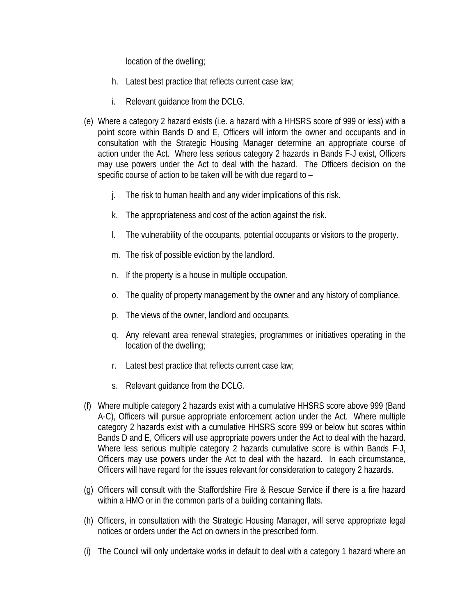location of the dwelling;

- h. Latest best practice that reflects current case law;
- i. Relevant guidance from the DCLG.
- (e) Where a category 2 hazard exists (i.e. a hazard with a HHSRS score of 999 or less) with a point score within Bands D and E, Officers will inform the owner and occupants and in consultation with the Strategic Housing Manager determine an appropriate course of action under the Act. Where less serious category 2 hazards in Bands F-J exist, Officers may use powers under the Act to deal with the hazard. The Officers decision on the specific course of action to be taken will be with due regard to –
	- j. The risk to human health and any wider implications of this risk.
	- k. The appropriateness and cost of the action against the risk.
	- l. The vulnerability of the occupants, potential occupants or visitors to the property.
	- m. The risk of possible eviction by the landlord.
	- n. If the property is a house in multiple occupation.
	- o. The quality of property management by the owner and any history of compliance.
	- p. The views of the owner, landlord and occupants.
	- q. Any relevant area renewal strategies, programmes or initiatives operating in the location of the dwelling;
	- r. Latest best practice that reflects current case law;
	- s. Relevant guidance from the DCLG.
- (f) Where multiple category 2 hazards exist with a cumulative HHSRS score above 999 (Band A-C), Officers will pursue appropriate enforcement action under the Act. Where multiple category 2 hazards exist with a cumulative HHSRS score 999 or below but scores within Bands D and E, Officers will use appropriate powers under the Act to deal with the hazard. Where less serious multiple category 2 hazards cumulative score is within Bands F-J, Officers may use powers under the Act to deal with the hazard. In each circumstance, Officers will have regard for the issues relevant for consideration to category 2 hazards.
- (g) Officers will consult with the Staffordshire Fire & Rescue Service if there is a fire hazard within a HMO or in the common parts of a building containing flats.
- (h) Officers, in consultation with the Strategic Housing Manager, will serve appropriate legal notices or orders under the Act on owners in the prescribed form.
- (i) The Council will only undertake works in default to deal with a category 1 hazard where an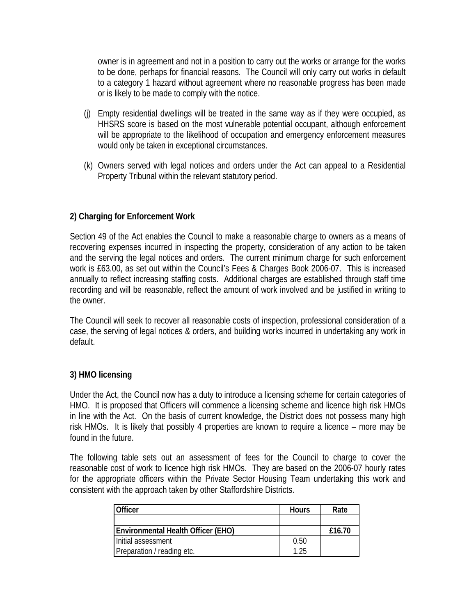owner is in agreement and not in a position to carry out the works or arrange for the works to be done, perhaps for financial reasons. The Council will only carry out works in default to a category 1 hazard without agreement where no reasonable progress has been made or is likely to be made to comply with the notice.

- (j) Empty residential dwellings will be treated in the same way as if they were occupied, as HHSRS score is based on the most vulnerable potential occupant, although enforcement will be appropriate to the likelihood of occupation and emergency enforcement measures would only be taken in exceptional circumstances.
- (k) Owners served with legal notices and orders under the Act can appeal to a Residential Property Tribunal within the relevant statutory period.

### **2) Charging for Enforcement Work**

Section 49 of the Act enables the Council to make a reasonable charge to owners as a means of recovering expenses incurred in inspecting the property, consideration of any action to be taken and the serving the legal notices and orders. The current minimum charge for such enforcement work is £63.00, as set out within the Council's Fees & Charges Book 2006-07. This is increased annually to reflect increasing staffing costs. Additional charges are established through staff time recording and will be reasonable, reflect the amount of work involved and be justified in writing to the owner.

The Council will seek to recover all reasonable costs of inspection, professional consideration of a case, the serving of legal notices & orders, and building works incurred in undertaking any work in default.

#### **3) HMO licensing**

Under the Act, the Council now has a duty to introduce a licensing scheme for certain categories of HMO. It is proposed that Officers will commence a licensing scheme and licence high risk HMOs in line with the Act. On the basis of current knowledge, the District does not possess many high risk HMOs. It is likely that possibly 4 properties are known to require a licence – more may be found in the future.

The following table sets out an assessment of fees for the Council to charge to cover the reasonable cost of work to licence high risk HMOs. They are based on the 2006-07 hourly rates for the appropriate officers within the Private Sector Housing Team undertaking this work and consistent with the approach taken by other Staffordshire Districts.

| Officer                                   | <b>Hours</b> | Rate   |
|-------------------------------------------|--------------|--------|
|                                           |              |        |
| <b>Environmental Health Officer (EHO)</b> |              | £16.70 |
| Initial assessment                        | 0.50         |        |
| Preparation / reading etc.                | 1.25         |        |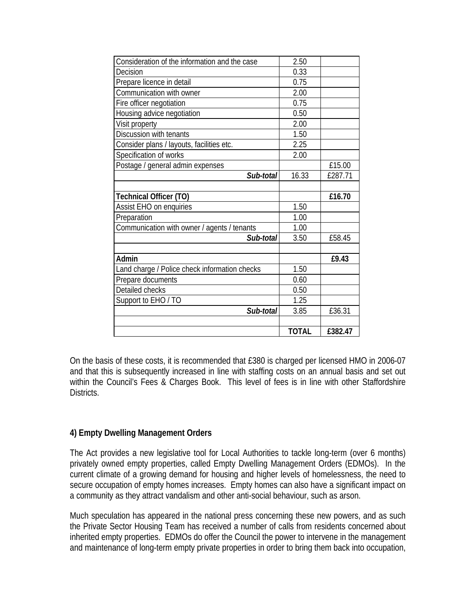| Consideration of the information and the case | 2.50         |         |
|-----------------------------------------------|--------------|---------|
| Decision                                      | 0.33         |         |
| Prepare licence in detail                     | 0.75         |         |
| Communication with owner                      | 2.00         |         |
| Fire officer negotiation                      | 0.75         |         |
| Housing advice negotiation                    | 0.50         |         |
| Visit property                                | 2.00         |         |
| Discussion with tenants                       | 1.50         |         |
| Consider plans / layouts, facilities etc.     | 2.25         |         |
| Specification of works                        | 2.00         |         |
| Postage / general admin expenses              |              | £15.00  |
| Sub-total                                     | 16.33        | £287.71 |
|                                               |              |         |
| <b>Technical Officer (TO)</b>                 |              | £16.70  |
| Assist EHO on enquiries                       | 1.50         |         |
| Preparation                                   | 1.00         |         |
| Communication with owner / agents / tenants   | 1.00         |         |
| Sub-total                                     | 3.50         | £58.45  |
| Admin                                         |              | £9.43   |
| Land charge / Police check information checks | 1.50         |         |
| Prepare documents                             | 0.60         |         |
| Detailed checks                               | 0.50         |         |
| Support to EHO / TO                           | 1.25         |         |
| Sub-total                                     | 3.85         | £36.31  |
|                                               |              |         |
|                                               | <b>TOTAL</b> | £382.47 |

On the basis of these costs, it is recommended that £380 is charged per licensed HMO in 2006-07 and that this is subsequently increased in line with staffing costs on an annual basis and set out within the Council's Fees & Charges Book. This level of fees is in line with other Staffordshire Districts.

## **4) Empty Dwelling Management Orders**

The Act provides a new legislative tool for Local Authorities to tackle long-term (over 6 months) privately owned empty properties, called Empty Dwelling Management Orders (EDMOs). In the current climate of a growing demand for housing and higher levels of homelessness, the need to secure occupation of empty homes increases. Empty homes can also have a significant impact on a community as they attract vandalism and other anti-social behaviour, such as arson.

Much speculation has appeared in the national press concerning these new powers, and as such the Private Sector Housing Team has received a number of calls from residents concerned about inherited empty properties. EDMOs do offer the Council the power to intervene in the management and maintenance of long-term empty private properties in order to bring them back into occupation,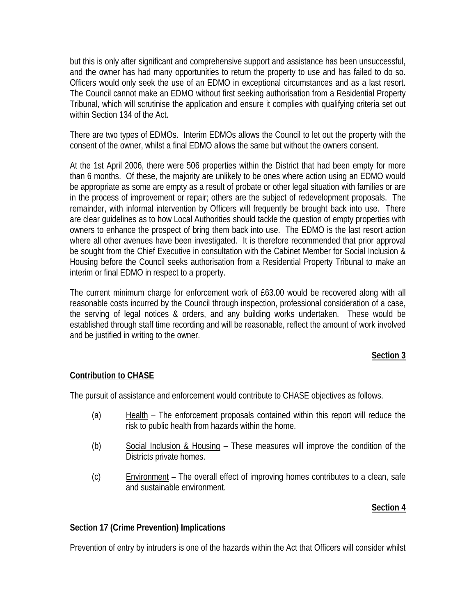but this is only after significant and comprehensive support and assistance has been unsuccessful, and the owner has had many opportunities to return the property to use and has failed to do so. Officers would only seek the use of an EDMO in exceptional circumstances and as a last resort. The Council cannot make an EDMO without first seeking authorisation from a Residential Property Tribunal, which will scrutinise the application and ensure it complies with qualifying criteria set out within Section 134 of the Act.

There are two types of EDMOs. Interim EDMOs allows the Council to let out the property with the consent of the owner, whilst a final EDMO allows the same but without the owners consent.

At the 1st April 2006, there were 506 properties within the District that had been empty for more than 6 months. Of these, the majority are unlikely to be ones where action using an EDMO would be appropriate as some are empty as a result of probate or other legal situation with families or are in the process of improvement or repair; others are the subject of redevelopment proposals. The remainder, with informal intervention by Officers will frequently be brought back into use. There are clear guidelines as to how Local Authorities should tackle the question of empty properties with owners to enhance the prospect of bring them back into use. The EDMO is the last resort action where all other avenues have been investigated. It is therefore recommended that prior approval be sought from the Chief Executive in consultation with the Cabinet Member for Social Inclusion & Housing before the Council seeks authorisation from a Residential Property Tribunal to make an interim or final EDMO in respect to a property.

The current minimum charge for enforcement work of £63.00 would be recovered along with all reasonable costs incurred by the Council through inspection, professional consideration of a case, the serving of legal notices & orders, and any building works undertaken. These would be established through staff time recording and will be reasonable, reflect the amount of work involved and be justified in writing to the owner.

#### **Section 3**

#### **Contribution to CHASE**

The pursuit of assistance and enforcement would contribute to CHASE objectives as follows.

- (a) Health The enforcement proposals contained within this report will reduce the risk to public health from hazards within the home.
- (b) Social Inclusion & Housing These measures will improve the condition of the Districts private homes.
- (c) Environment The overall effect of improving homes contributes to a clean, safe and sustainable environment.

#### **Section 4**

#### **Section 17 (Crime Prevention) Implications**

Prevention of entry by intruders is one of the hazards within the Act that Officers will consider whilst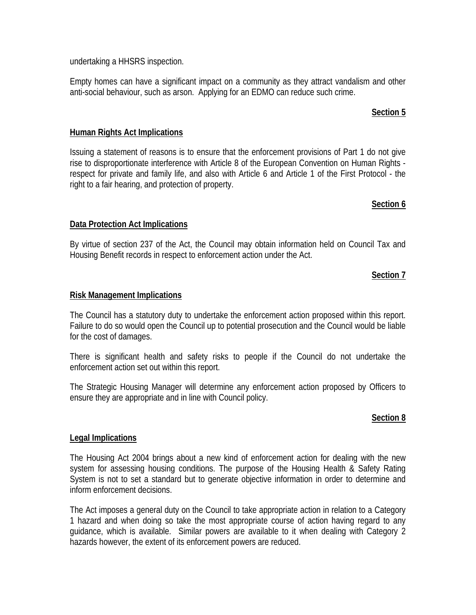undertaking a HHSRS inspection.

Empty homes can have a significant impact on a community as they attract vandalism and other anti-social behaviour, such as arson. Applying for an EDMO can reduce such crime.

### **Section 5**

### **Human Rights Act Implications**

Issuing a statement of reasons is to ensure that the enforcement provisions of Part 1 do not give rise to disproportionate interference with Article 8 of the European Convention on Human Rights respect for private and family life, and also with Article 6 and Article 1 of the First Protocol - the right to a fair hearing, and protection of property.

#### **Section 6**

### **Data Protection Act Implications**

By virtue of section 237 of the Act, the Council may obtain information held on Council Tax and Housing Benefit records in respect to enforcement action under the Act.

## **Section 7**

#### **Risk Management Implications**

The Council has a statutory duty to undertake the enforcement action proposed within this report. Failure to do so would open the Council up to potential prosecution and the Council would be liable for the cost of damages.

There is significant health and safety risks to people if the Council do not undertake the enforcement action set out within this report.

The Strategic Housing Manager will determine any enforcement action proposed by Officers to ensure they are appropriate and in line with Council policy.

#### **Section 8**

#### **Legal Implications**

The Housing Act 2004 brings about a new kind of enforcement action for dealing with the new system for assessing housing conditions. The purpose of the Housing Health & Safety Rating System is not to set a standard but to generate objective information in order to determine and inform enforcement decisions.

The Act imposes a general duty on the Council to take appropriate action in relation to a Category 1 hazard and when doing so take the most appropriate course of action having regard to any guidance, which is available. Similar powers are available to it when dealing with Category 2 hazards however, the extent of its enforcement powers are reduced.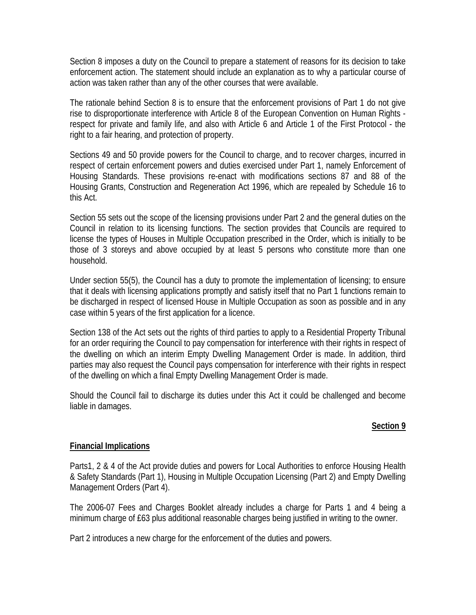Section 8 imposes a duty on the Council to prepare a statement of reasons for its decision to take enforcement action. The statement should include an explanation as to why a particular course of action was taken rather than any of the other courses that were available.

The rationale behind Section 8 is to ensure that the enforcement provisions of Part 1 do not give rise to disproportionate interference with Article 8 of the European Convention on Human Rights respect for private and family life, and also with Article 6 and Article 1 of the First Protocol - the right to a fair hearing, and protection of property.

Sections 49 and 50 provide powers for the Council to charge, and to recover charges, incurred in respect of certain enforcement powers and duties exercised under Part 1, namely Enforcement of Housing Standards. These provisions re-enact with modifications sections 87 and 88 of the Housing Grants, Construction and Regeneration Act 1996, which are repealed by Schedule 16 to this Act.

Section 55 sets out the scope of the licensing provisions under Part 2 and the general duties on the Council in relation to its licensing functions. The section provides that Councils are required to license the types of Houses in Multiple Occupation prescribed in the Order, which is initially to be those of 3 storeys and above occupied by at least 5 persons who constitute more than one household.

Under section 55(5), the Council has a duty to promote the implementation of licensing; to ensure that it deals with licensing applications promptly and satisfy itself that no Part 1 functions remain to be discharged in respect of licensed House in Multiple Occupation as soon as possible and in any case within 5 years of the first application for a licence.

Section 138 of the Act sets out the rights of third parties to apply to a Residential Property Tribunal for an order requiring the Council to pay compensation for interference with their rights in respect of the dwelling on which an interim Empty Dwelling Management Order is made. In addition, third parties may also request the Council pays compensation for interference with their rights in respect of the dwelling on which a final Empty Dwelling Management Order is made.

Should the Council fail to discharge its duties under this Act it could be challenged and become liable in damages.

#### **Section 9**

#### **Financial Implications**

Parts1, 2 & 4 of the Act provide duties and powers for Local Authorities to enforce Housing Health & Safety Standards (Part 1), Housing in Multiple Occupation Licensing (Part 2) and Empty Dwelling Management Orders (Part 4).

The 2006-07 Fees and Charges Booklet already includes a charge for Parts 1 and 4 being a minimum charge of £63 plus additional reasonable charges being justified in writing to the owner.

Part 2 introduces a new charge for the enforcement of the duties and powers.